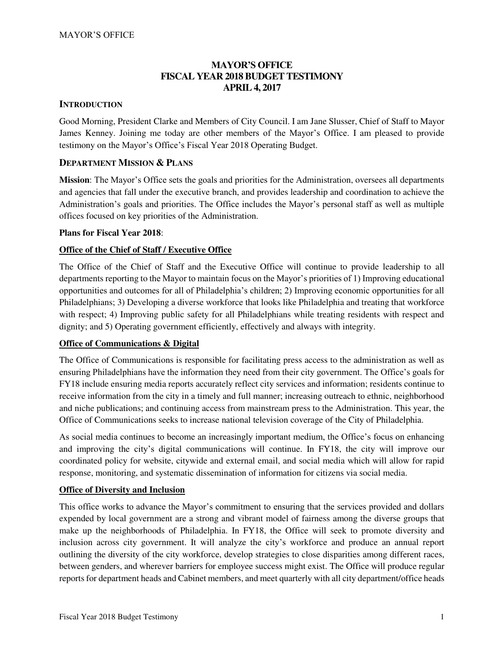## **MAYOR'S OFFICE FISCAL YEAR 2018 BUDGET TESTIMONY APRIL 4, 2017**

### **INTRODUCTION**

Good Morning, President Clarke and Members of City Council. I am Jane Slusser, Chief of Staff to Mayor James Kenney. Joining me today are other members of the Mayor's Office. I am pleased to provide testimony on the Mayor's Office's Fiscal Year 2018 Operating Budget.

## **DEPARTMENT MISSION & PLANS**

**Mission**: The Mayor's Office sets the goals and priorities for the Administration, oversees all departments and agencies that fall under the executive branch, and provides leadership and coordination to achieve the Administration's goals and priorities. The Office includes the Mayor's personal staff as well as multiple offices focused on key priorities of the Administration.

#### **Plans for Fiscal Year 2018**:

## **Office of the Chief of Staff / Executive Office**

The Office of the Chief of Staff and the Executive Office will continue to provide leadership to all departments reporting to the Mayor to maintain focus on the Mayor's priorities of 1) Improving educational opportunities and outcomes for all of Philadelphia's children; 2) Improving economic opportunities for all Philadelphians; 3) Developing a diverse workforce that looks like Philadelphia and treating that workforce with respect; 4) Improving public safety for all Philadelphians while treating residents with respect and dignity; and 5) Operating government efficiently, effectively and always with integrity.

#### **Office of Communications & Digital**

The Office of Communications is responsible for facilitating press access to the administration as well as ensuring Philadelphians have the information they need from their city government. The Office's goals for FY18 include ensuring media reports accurately reflect city services and information; residents continue to receive information from the city in a timely and full manner; increasing outreach to ethnic, neighborhood and niche publications; and continuing access from mainstream press to the Administration. This year, the Office of Communications seeks to increase national television coverage of the City of Philadelphia.

As social media continues to become an increasingly important medium, the Office's focus on enhancing and improving the city's digital communications will continue. In FY18, the city will improve our coordinated policy for website, citywide and external email, and social media which will allow for rapid response, monitoring, and systematic dissemination of information for citizens via social media.

#### **Office of Diversity and Inclusion**

This office works to advance the Mayor's commitment to ensuring that the services provided and dollars expended by local government are a strong and vibrant model of fairness among the diverse groups that make up the neighborhoods of Philadelphia. In FY18, the Office will seek to promote diversity and inclusion across city government. It will analyze the city's workforce and produce an annual report outlining the diversity of the city workforce, develop strategies to close disparities among different races, between genders, and wherever barriers for employee success might exist. The Office will produce regular reports for department heads and Cabinet members, and meet quarterly with all city department/office heads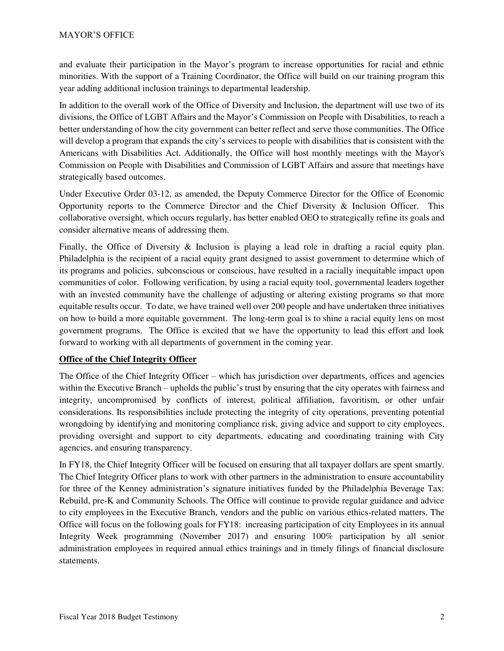and evaluate their participation in the Mayor's program to increase opportunities for racial and ethnic minorities. With the support of a Training Coordinator, the Office will build on our training program this year adding additional inclusion trainings to departmental leadership.

In addition to the overall work of the Office of Diversity and Inclusion, the department will use two of its divisions, the Office of LGBT Affairs and the Mayor's Commission on People with Disabilities, to reach a better understanding of how the city government can better reflect and serve those communities. The Office will develop a program that expands the city's services to people with disabilities that is consistent with the Americans with Disabilities Act. Additionally, the Office will host monthly meetings with the Mayor's Commission on People with Disabilities and Commission of LGBT Affairs and assure that meetings have strategically based outcomes.

Under Executive Order 03-12, as amended, the Deputy Commerce Director for the Office of Economic Opportunity reports to the Commerce Director and the Chief Diversity & Inclusion Officer. This collaborative oversight, which occurs regularly, has better enabled OEO to strategically refine its goals and consider alternative means of addressing them.

Finally, the Office of Diversity & Inclusion is playing a lead role in drafting a racial equity plan. Philadelphia is the recipient of a racial equity grant designed to assist government to determine which of its programs and policies, subconscious or conscious, have resulted in a racially inequitable impact upon communities of color. Following verification, by using a racial equity tool, governmental leaders together with an invested community have the challenge of adjusting or altering existing programs so that more equitable results occur. To date, we have trained well over 200 people and have undertaken three initiatives on how to build a more equitable government. The long-term goal is to shine a racial equity lens on most government programs. The Office is excited that we have the opportunity to lead this effort and look forward to working with all departments of government in the coming year.

## **Office of the Chief Integrity Officer**

The Office of the Chief Integrity Officer – which has jurisdiction over departments, offices and agencies within the Executive Branch – upholds the public's trust by ensuring that the city operates with fairness and integrity, uncompromised by conflicts of interest, political affiliation, favoritism, or other unfair considerations. Its responsibilities include protecting the integrity of city operations, preventing potential wrongdoing by identifying and monitoring compliance risk, giving advice and support to city employees, providing oversight and support to city departments, educating and coordinating training with City agencies, and ensuring transparency.

In FY18, the Chief Integrity Officer will be focused on ensuring that all taxpayer dollars are spent smartly. The Chief Integrity Officer plans to work with other partners in the administration to ensure accountability for three of the Kenney administration's signature initiatives funded by the Philadelphia Beverage Tax: Rebuild, pre-K and Community Schools. The Office will continue to provide regular guidance and advice to city employees in the Executive Branch, vendors and the public on various ethics-related matters. The Office will focus on the following goals for FY18: increasing participation of city Employees in its annual Integrity Week programming (November 2017) and ensuring 100% participation by all senior administration employees in required annual ethics trainings and in timely filings of financial disclosure statements.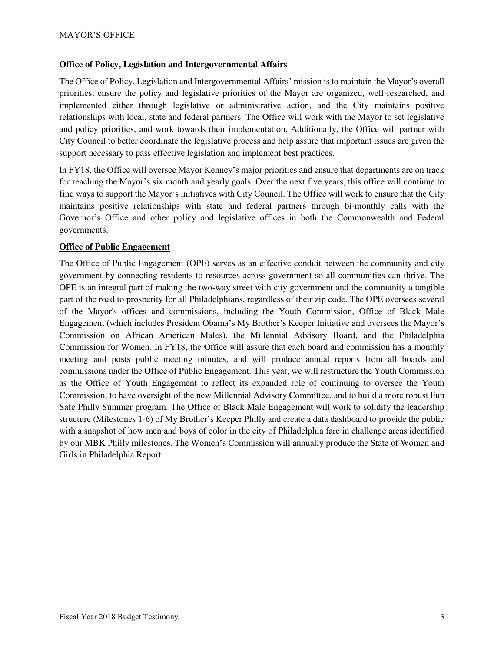#### **Office of Policy, Legislation and Intergovernmental Affairs**

The Office of Policy, Legislation and Intergovernmental Affairs' mission is to maintain the Mayor's overall priorities, ensure the policy and legislative priorities of the Mayor are organized, well-researched, and implemented either through legislative or administrative action, and the City maintains positive relationships with local, state and federal partners. The Office will work with the Mayor to set legislative and policy priorities, and work towards their implementation. Additionally, the Office will partner with City Council to better coordinate the legislative process and help assure that important issues are given the support necessary to pass effective legislation and implement best practices.

In FY18, the Office will oversee Mayor Kenney's major priorities and ensure that departments are on track for reaching the Mayor's six month and yearly goals. Over the next five years, this office will continue to find ways to support the Mayor's initiatives with City Council. The Office will work to ensure that the City maintains positive relationships with state and federal partners through bi-monthly calls with the Governor's Office and other policy and legislative offices in both the Commonwealth and Federal governments.

## **Office of Public Engagement**

The Office of Public Engagement (OPE) serves as an effective conduit between the community and city government by connecting residents to resources across government so all communities can thrive. The OPE is an integral part of making the two-way street with city government and the community a tangible part of the road to prosperity for all Philadelphians, regardless of their zip code. The OPE oversees several of the Mayor's offices and commissions, including the Youth Commission, Office of Black Male Engagement (which includes President Obama's My Brother's Keeper Initiative and oversees the Mayor's Commission on African American Males), the Millennial Advisory Board, and the Philadelphia Commission for Women. In FY18, the Office will assure that each board and commission has a monthly meeting and posts public meeting minutes, and will produce annual reports from all boards and commissions under the Office of Public Engagement. This year, we will restructure the Youth Commission as the Office of Youth Engagement to reflect its expanded role of continuing to oversee the Youth Commission, to have oversight of the new Millennial Advisory Committee, and to build a more robust Fun Safe Philly Summer program. The Office of Black Male Engagement will work to solidify the leadership structure (Milestones 1-6) of My Brother's Keeper Philly and create a data dashboard to provide the public with a snapshot of how men and boys of color in the city of Philadelphia fare in challenge areas identified by our MBK Philly milestones. The Women's Commission will annually produce the State of Women and Girls in Philadelphia Report.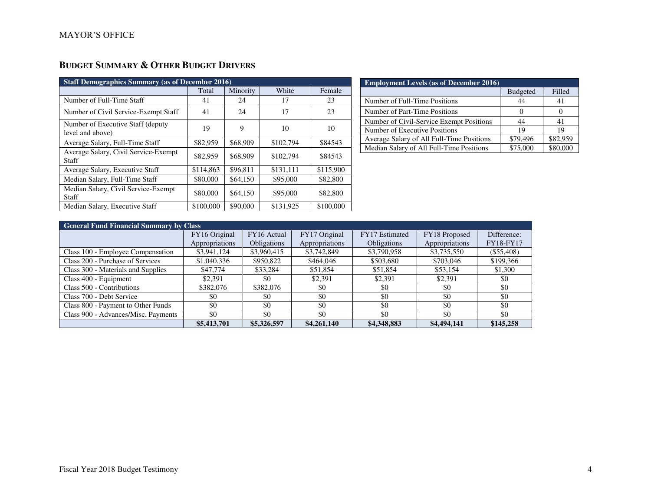# **BUDGET SUMMARY & OTHER BUDGET DRIVERS**

| <b>Staff Demographics Summary (as of December 2016)</b> |           |          |           |           |  |  |
|---------------------------------------------------------|-----------|----------|-----------|-----------|--|--|
|                                                         | Total     | Minority | White     | Female    |  |  |
| Number of Full-Time Staff                               | 41        | 24       | 17        | 23        |  |  |
| Number of Civil Service-Exempt Staff                    | 41        | 24       | 17        | 23        |  |  |
| Number of Executive Staff (deputy)<br>level and above)  | 19        | 9        | 10        | 10        |  |  |
| Average Salary, Full-Time Staff                         | \$82,959  | \$68,909 | \$102,794 | \$84543   |  |  |
| Average Salary, Civil Service-Exempt<br>Staff           | \$82,959  | \$68,909 | \$102,794 | \$84543   |  |  |
| Average Salary, Executive Staff                         | \$114,863 | \$96.811 | \$131.111 | \$115,900 |  |  |
| Median Salary, Full-Time Staff                          | \$80,000  | \$64,150 | \$95,000  | \$82,800  |  |  |
| Median Salary, Civil Service-Exempt<br>Staff            | \$80,000  | \$64,150 | \$95,000  | \$82,800  |  |  |
| Median Salary, Executive Staff                          | \$100,000 | \$90,000 | \$131,925 | \$100,000 |  |  |

| <b>Employment Levels (as of December 2016)</b> |                 |          |
|------------------------------------------------|-----------------|----------|
|                                                | <b>Budgeted</b> | Filled   |
| Number of Full-Time Positions                  |                 | 41       |
| Number of Part-Time Positions                  |                 |          |
| Number of Civil-Service Exempt Positions       | 44              | 41       |
| Number of Executive Positions                  | 19              | 19       |
| Average Salary of All Full-Time Positions      | \$79,496        | \$82.959 |
| Median Salary of All Full-Time Positions       | \$75,000        |          |

| <b>General Fund Financial Summary by Class</b> |                |                    |                |                |                |                  |
|------------------------------------------------|----------------|--------------------|----------------|----------------|----------------|------------------|
|                                                | FY16 Original  | FY16 Actual        | FY17 Original  | FY17 Estimated | FY18 Proposed  | Difference:      |
|                                                | Appropriations | <b>Obligations</b> | Appropriations | Obligations    | Appropriations | <b>FY18-FY17</b> |
| Class 100 - Employee Compensation              | \$3,941,124    | \$3,960,415        | \$3,742,849    | \$3,790,958    | \$3,735,550    | $(\$55,408)$     |
| Class 200 - Purchase of Services               | \$1,040,336    | \$950,822          | \$464,046      | \$503,680      | \$703,046      | \$199,366        |
| Class 300 - Materials and Supplies             | \$47,774       | \$33,284           | \$51,854       | \$51,854       | \$53,154       | \$1,300          |
| Class 400 - Equipment                          | \$2,391        | \$0                | \$2,391        | \$2,391        | \$2,391        | \$0              |
| Class 500 - Contributions                      | \$382,076      | \$382,076          | \$0            | \$0            | \$0            | \$0              |
| Class 700 - Debt Service                       | \$0            | \$0                | \$0            | \$0            | \$0            | \$0              |
| Class 800 - Payment to Other Funds             | \$0            | \$0                | \$0            | \$0            | \$0            | \$0              |
| Class 900 - Advances/Misc. Payments            | \$0            | \$0                | \$0            | \$0            | \$0            | \$0              |
|                                                | \$5,413,701    | \$5,326,597        | \$4,261,140    | \$4,348,883    | \$4,494,141    | \$145,258        |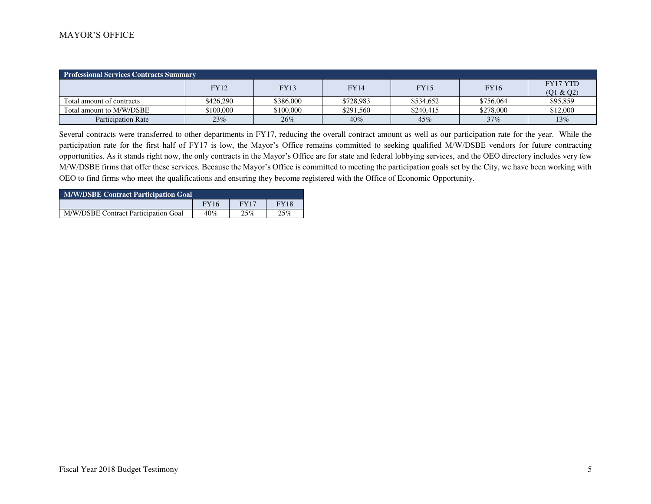#### MAYOR'S OFFICE

| <b>Professional Services Contracts Summary</b> |             |             |             |             |             |                 |  |           |
|------------------------------------------------|-------------|-------------|-------------|-------------|-------------|-----------------|--|-----------|
|                                                | <b>FY12</b> | <b>FY13</b> | <b>FY14</b> | <b>FY15</b> | <b>FY16</b> | <b>FY17 YTD</b> |  |           |
|                                                |             |             |             |             |             |                 |  | (Q1 & Q2) |
| Total amount of contracts                      | \$426,290   | \$386,000   | \$728,983   | \$534,652   | \$756,064   | \$95,859        |  |           |
| Total amount to M/W/DSBE                       | \$100,000   | \$100,000   | \$291,560   | \$240.415   | \$278,000   | \$12,000        |  |           |
| <b>Participation Rate</b>                      | 23%         | 26%         | 40%         | 45%         | 37%         | 13%             |  |           |

Several contracts were transferred to other departments in FY17, reducing the overall contract amount as well as our participation rate for the year. While the participation rate for the first half of FY17 is low, the Mayor's Office remains committed to seeking qualified M/W/DSBE vendors for future contracting opportunities. As it stands right now, the only contracts in the Mayor's Office are for state and federal lobbying services, and the OEO directory includes very few M/W/DSBE firms that offer these services. Because the Mayor's Office is committed to meeting the participation goals set by the City, we have been working with OEO to find firms who meet the qualifications and ensuring they become registered with the Office of Economic Opportunity.

| <b>M/W/DSBE Contract Participation Goal</b> |             |      |             |  |  |
|---------------------------------------------|-------------|------|-------------|--|--|
|                                             | <b>FY16</b> | FY17 | <b>FY18</b> |  |  |
| M/W/DSBE Contract Participation Goal        | 40%         | 25%  | 25%         |  |  |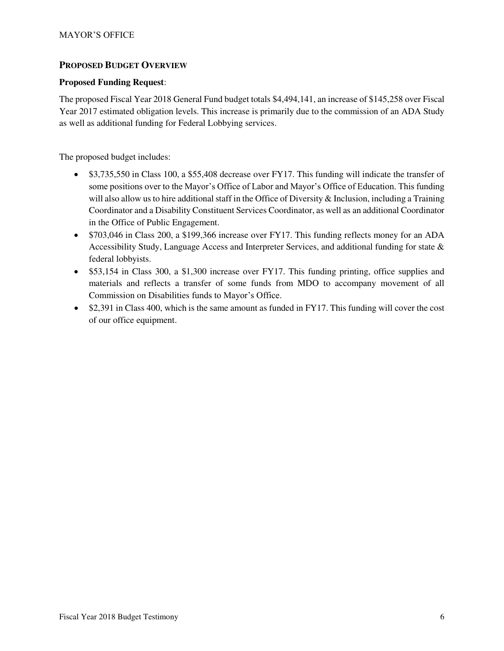## **PROPOSED BUDGET OVERVIEW**

#### **Proposed Funding Request**:

The proposed Fiscal Year 2018 General Fund budget totals \$4,494,141, an increase of \$145,258 over Fiscal Year 2017 estimated obligation levels. This increase is primarily due to the commission of an ADA Study as well as additional funding for Federal Lobbying services.

The proposed budget includes:

- \$3,735,550 in Class 100, a \$55,408 decrease over FY17. This funding will indicate the transfer of some positions over to the Mayor's Office of Labor and Mayor's Office of Education. This funding will also allow us to hire additional staff in the Office of Diversity & Inclusion, including a Training Coordinator and a Disability Constituent Services Coordinator, as well as an additional Coordinator in the Office of Public Engagement.
- \$703,046 in Class 200, a \$199,366 increase over FY17. This funding reflects money for an ADA Accessibility Study, Language Access and Interpreter Services, and additional funding for state & federal lobbyists.
- \$53,154 in Class 300, a \$1,300 increase over FY17. This funding printing, office supplies and materials and reflects a transfer of some funds from MDO to accompany movement of all Commission on Disabilities funds to Mayor's Office.
- \$2,391 in Class 400, which is the same amount as funded in FY17. This funding will cover the cost of our office equipment.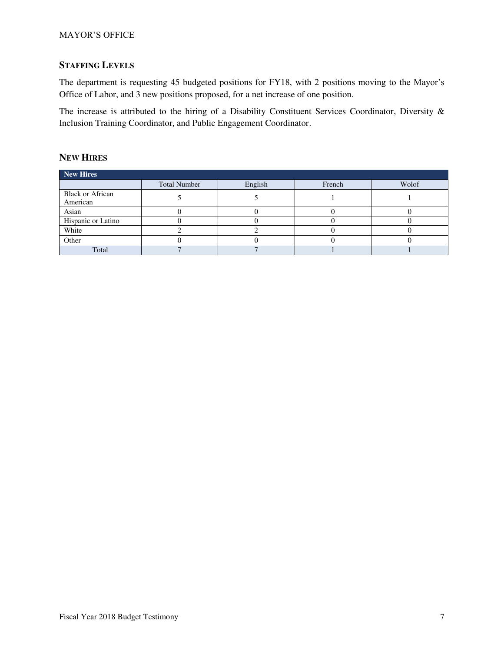# **STAFFING LEVELS**

The department is requesting 45 budgeted positions for FY18, with 2 positions moving to the Mayor's Office of Labor, and 3 new positions proposed, for a net increase of one position.

The increase is attributed to the hiring of a Disability Constituent Services Coordinator, Diversity & Inclusion Training Coordinator, and Public Engagement Coordinator.

#### **NEW HIRES**

| <b>New Hires</b>                    |                     |         |        |       |
|-------------------------------------|---------------------|---------|--------|-------|
|                                     | <b>Total Number</b> | English | French | Wolof |
| <b>Black or African</b><br>American |                     |         |        |       |
| Asian                               |                     |         |        |       |
| Hispanic or Latino                  |                     |         |        |       |
| White                               |                     |         |        |       |
| Other                               |                     |         |        |       |
| Total                               |                     |         |        |       |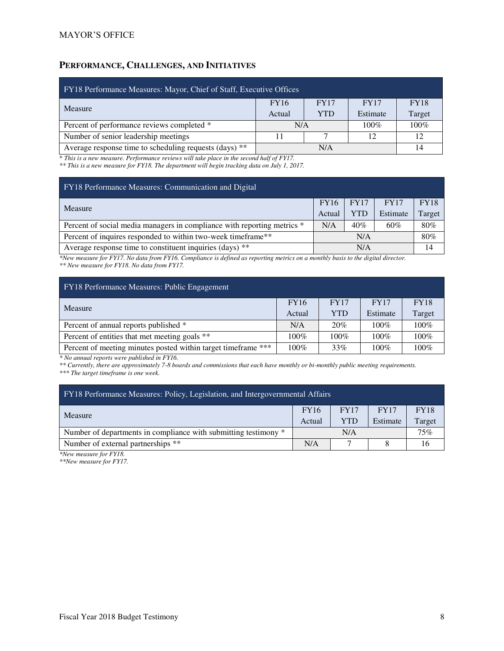# **PERFORMANCE, CHALLENGES, AND INITIATIVES**

| FY18 Performance Measures: Mayor, Chief of Staff, Executive Offices |             |            |             |             |  |  |
|---------------------------------------------------------------------|-------------|------------|-------------|-------------|--|--|
| Measure                                                             | <b>FY16</b> | FY17       | <b>FY17</b> | <b>FY18</b> |  |  |
|                                                                     | Actual      | <b>YTD</b> | Estimate    | Target      |  |  |
| Percent of performance reviews completed *                          | N/A         |            | $100\%$     | $100\%$     |  |  |
| Number of senior leadership meetings                                |             |            | 12          | 12          |  |  |
| Average response time to scheduling requests (days) **              |             | N/A        |             | 14          |  |  |

\* *This is a new measure. Performance reviews will take place in the second half of FY17.* 

*\*\* This is a new measure for FY18. The department will begin tracking data on July 1, 2017.* 

| <b>FY16</b> | <b>FY17</b> | <b>FY17</b> | <b>FY18</b> |
|-------------|-------------|-------------|-------------|
| Actual      | <b>YTD</b>  | Estimate    | Target      |
| N/A         | 40%         | 60%         | 80%         |
|             | N/A         |             | 80%         |
|             | N/A         |             |             |
|             |             |             |             |

*\*New measure for FY17. No data from FY16. Compliance is defined as reporting metrics on a monthly basis to the digital director. \*\* New measure for FY18. No data from FY17.* 

| FY18 Performance Measures: Public Engagement                  |             |            |             |             |  |  |
|---------------------------------------------------------------|-------------|------------|-------------|-------------|--|--|
| Measure                                                       | <b>FY16</b> | FY17       | <b>FY17</b> | <b>FY18</b> |  |  |
|                                                               | Actual      | <b>YTD</b> | Estimate    | Target      |  |  |
| Percent of annual reports published *                         | N/A         | 20%        | $100\%$     | 100%        |  |  |
| Percent of entities that met meeting goals **                 | $100\%$     | 100%       | 100%        | 100%        |  |  |
| Percent of meeting minutes posted within target timeframe *** | $100\%$     | 33%        | $100\%$     | $100\%$     |  |  |

*\* No annual reports were published in FY16.* 

*\*\* Currently, there are approximately 7-8 boards and commissions that each have monthly or bi-monthly public meeting requirements.* 

*\*\*\* The target timeframe is one week.* 

| FY18 Performance Measures: Policy, Legislation, and Intergovernmental Affairs |             |             |  |  |  |  |
|-------------------------------------------------------------------------------|-------------|-------------|--|--|--|--|
| <b>FY17</b>                                                                   | <b>FY17</b> | <b>FY18</b> |  |  |  |  |
| YTD                                                                           | Estimate    | Target      |  |  |  |  |
| Number of departments in compliance with submitting testimony *<br>N/A        |             |             |  |  |  |  |
|                                                                               |             | 16          |  |  |  |  |
|                                                                               |             |             |  |  |  |  |

*\*New measure for FY18.* 

*\*\*New measure for FY17.*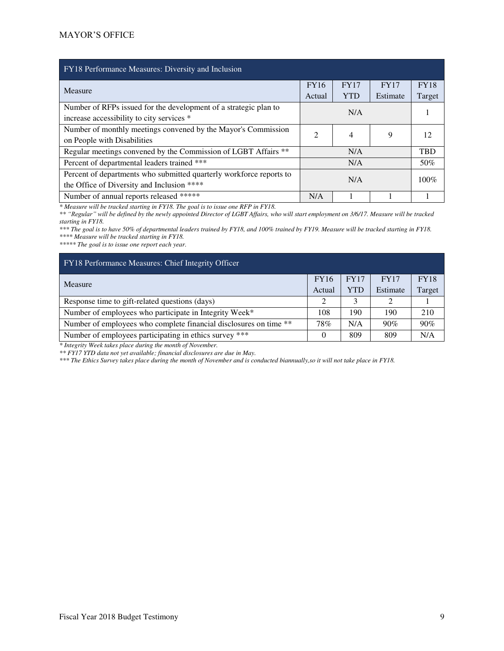| FY18 Performance Measures: Diversity and Inclusion                                                                |                |             |          |             |
|-------------------------------------------------------------------------------------------------------------------|----------------|-------------|----------|-------------|
| Measure                                                                                                           | <b>FY16</b>    | <b>FY17</b> | FY17     | <b>FY18</b> |
|                                                                                                                   | Actual         | <b>YTD</b>  | Estimate | Target      |
| Number of RFPs issued for the development of a strategic plan to<br>increase accessibility to city services *     |                | N/A         |          |             |
| Number of monthly meetings convened by the Mayor's Commission<br>on People with Disabilities                      | $\mathfrak{D}$ | 4           | 9        | 12          |
| Regular meetings convened by the Commission of LGBT Affairs **                                                    |                | N/A         |          | <b>TBD</b>  |
| Percent of departmental leaders trained ***                                                                       | N/A            |             |          | 50%         |
| Percent of departments who submitted quarterly workforce reports to<br>the Office of Diversity and Inclusion **** | N/A            |             |          | 100%        |
| Number of annual reports released *****                                                                           | N/A            |             |          |             |

*\* Measure will be tracked starting in FY18. The goal is to issue one RFP in FY18.* 

*\*\* "Regular" will be defined by the newly appointed Director of LGBT Affairs, who will start employment on 3/6/17. Measure will be tracked starting in FY18.* 

*\*\*\* The goal is to have 50% of departmental leaders trained by FY18, and 100% trained by FY19. Measure will be tracked starting in FY18. \*\*\*\* Measure will be tracked starting in FY18.* 

*\*\*\*\*\* The goal is to issue one report each year.* 

| FY18 Performance Measures: Chief Integrity Officer                |     |             |             |             |
|-------------------------------------------------------------------|-----|-------------|-------------|-------------|
| Measure                                                           |     | <b>FY17</b> | <b>FY17</b> | <b>FY18</b> |
|                                                                   |     | <b>YTD</b>  | Estimate    | Target      |
| Response time to gift-related questions (days)                    | ◠   | 3           | $\gamma$    |             |
| Number of employees who participate in Integrity Week*            | 108 | 190         | 190         | 210         |
| Number of employees who complete financial disclosures on time ** | 78% | N/A         | 90%         | 90%         |
| Number of employees participating in ethics survey ***            | 0   | 809         | 809         | N/A         |

*\* Integrity Week takes place during the month of November.* 

*\*\* FY17 YTD data not yet available; financial disclosures are due in May.* 

*\*\*\* The Ethics Survey takes place during the month of November and is conducted biannually,so it will not take place in FY18.*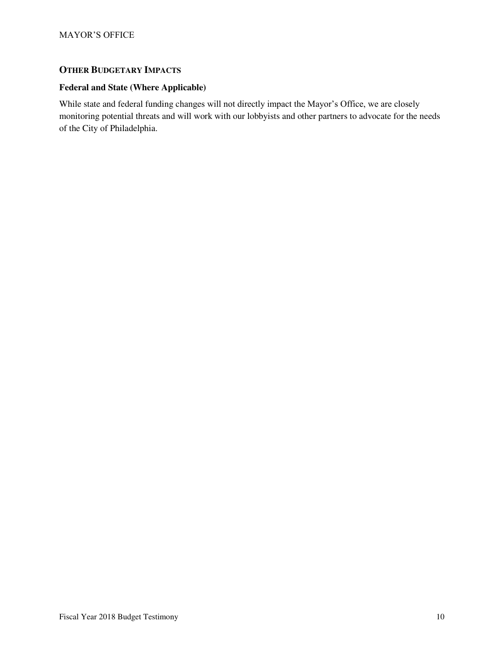## **OTHER BUDGETARY IMPACTS**

## **Federal and State (Where Applicable)**

While state and federal funding changes will not directly impact the Mayor's Office, we are closely monitoring potential threats and will work with our lobbyists and other partners to advocate for the needs of the City of Philadelphia.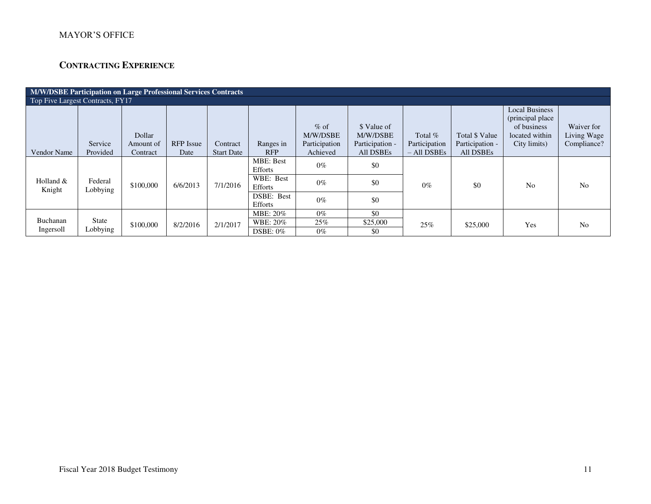# MAYOR'S OFFICE

# **CONTRACTING EXPERIENCE**

| M/W/DSBE Participation on Large Professional Services Contracts |                     |                     |                  |                   |                                    |                                     |                                            |                            |                                   |                                                                                            |                                          |
|-----------------------------------------------------------------|---------------------|---------------------|------------------|-------------------|------------------------------------|-------------------------------------|--------------------------------------------|----------------------------|-----------------------------------|--------------------------------------------------------------------------------------------|------------------------------------------|
| Top Five Largest Contracts, FY17                                |                     |                     |                  |                   |                                    |                                     |                                            |                            |                                   |                                                                                            |                                          |
|                                                                 | Service             | Dollar<br>Amount of | <b>RFP</b> Issue | Contract          |                                    | $%$ of<br>M/W/DSBE<br>Participation | \$ Value of<br>M/W/DSBE<br>Participation - | Total $%$<br>Participation | Total \$ Value<br>Participation - | <b>Local Business</b><br>(principal place<br>of business<br>located within<br>City limits) | Waiver for<br>Living Wage<br>Compliance? |
| Vendor Name                                                     | Provided            | Contract            | Date             | <b>Start Date</b> | Ranges in<br><b>RFP</b>            | Achieved                            | All DSBEs                                  | $-$ All DSBEs              | All DSBEs                         |                                                                                            |                                          |
|                                                                 |                     |                     |                  |                   | <b>MBE: Best</b><br><b>Efforts</b> | $0\%$                               | \$0                                        |                            |                                   |                                                                                            |                                          |
| Holland $&$<br>Knight                                           | Federal<br>Lobbying | \$100,000           | 6/6/2013         | 7/1/2016          | WBE: Best<br>Efforts               | $0\%$                               | \$0                                        | $0\%$                      | \$0                               | No                                                                                         | N <sub>o</sub>                           |
|                                                                 |                     |                     |                  |                   | DSBE: Best<br><b>Efforts</b>       | $0\%$                               | \$0                                        |                            |                                   |                                                                                            |                                          |
|                                                                 |                     |                     |                  |                   | MBE: 20%                           | $0\%$                               | \$0                                        |                            |                                   |                                                                                            |                                          |
| Buchanan<br>Ingersoll                                           | State<br>Lobbying   | \$100,000           | 8/2/2016         | 2/1/2017          | WBE: 20%                           | 25%                                 | \$25,000                                   | 25%                        | \$25,000                          | Yes                                                                                        | N <sub>o</sub>                           |
|                                                                 |                     |                     |                  |                   | $DSBE: 0\%$                        | $0\%$                               | \$0                                        |                            |                                   |                                                                                            |                                          |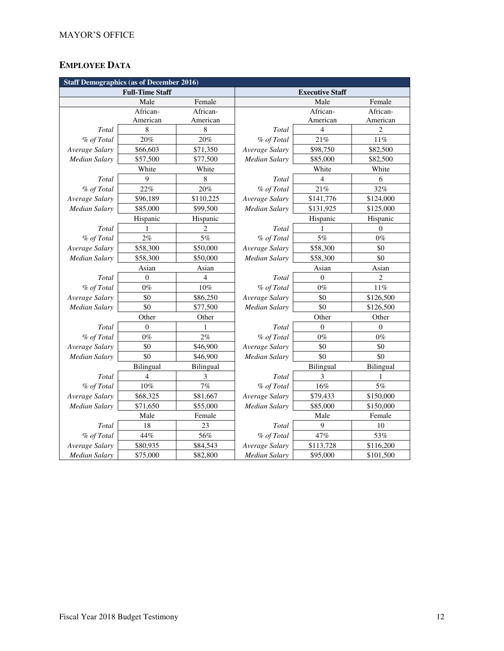# **EMPLOYEE DATA**

| <b>Staff Demographics (as of December 2016)</b> |                        |                |                            |           |                |  |  |
|-------------------------------------------------|------------------------|----------------|----------------------------|-----------|----------------|--|--|
|                                                 | <b>Full-Time Staff</b> |                | <b>Executive Staff</b>     |           |                |  |  |
|                                                 | Male                   | Female         |                            | Male      | Female         |  |  |
|                                                 | African-               | African-       |                            | African-  | African-       |  |  |
|                                                 | American               | American       |                            | American  | American       |  |  |
| Total                                           | 8                      | 8              | Total                      | 4         | $\overline{c}$ |  |  |
| % of Total                                      | 20%                    | 20%            | % of Total                 | 21%       | 11%            |  |  |
| Average Salary                                  | \$66,603               | \$71,350       | Average Salary             | \$98,750  | \$82,500       |  |  |
| <b>Median Salary</b>                            | \$57,500               | \$77,500       | Median Salary              | \$85,000  | \$82,500       |  |  |
|                                                 | White                  | White          |                            | White     | White          |  |  |
| Total                                           | 9                      | 8              | Total                      | 4         | 6              |  |  |
| % of Total                                      | 22%                    | 20%            | % of Total                 | 21%       | 32%            |  |  |
| Average Salary                                  | \$96,189               | \$110,225      | Average Salary             | \$141,776 | \$124,000      |  |  |
| Median Salary                                   | \$85,000               | \$99,500       | Median Salary<br>\$131,925 |           | \$125,000      |  |  |
|                                                 | Hispanic               | Hispanic       |                            | Hispanic  | Hispanic       |  |  |
| Total                                           | 1                      | $\overline{c}$ | Total                      | 1         | $\mathbf{0}$   |  |  |
| % of Total                                      | 2%                     | 5%             | % of Total                 | $5\%$     | $0\%$          |  |  |
| Average Salary                                  | \$58,300               | \$50,000       | Average Salary             | \$58,300  | \$0            |  |  |
| <b>Median Salary</b>                            | \$58,300               | \$50,000       | Median Salary<br>\$58,300  |           | \$0            |  |  |
|                                                 | Asian                  | Asian          |                            | Asian     | Asian          |  |  |
| Total                                           | $\theta$               | $\overline{4}$ | Total                      | $\theta$  | $\overline{c}$ |  |  |
| % of Total                                      | $0\%$                  | 10%            | % of Total                 | $0\%$     | 11%            |  |  |
| Average Salary                                  | \$0                    | \$86,250       | Average Salary             | \$0       | \$126,500      |  |  |
| <b>Median Salary</b>                            | \$0                    | \$77,500       | \$0<br>Median Salary       |           | \$126,500      |  |  |
|                                                 | Other                  | Other          |                            | Other     |                |  |  |
| Total                                           | $\Omega$               | 1              | Total                      | $\Omega$  | $\Omega$       |  |  |
| % of Total                                      | $0\%$                  | 2%             | % of Total                 | $0\%$     | $0\%$          |  |  |
| Average Salary                                  | \$0                    | \$46,900       | Average Salary             | \$0       | \$0            |  |  |
| Median Salary                                   | \$0                    | \$46,900       | \$0<br>Median Salary       |           | \$0            |  |  |
|                                                 | Bilingual              | Bilingual      |                            | Bilingual |                |  |  |
| Total                                           | $\overline{4}$         | 3              | Total                      | 3         | 1              |  |  |
| % of Total                                      | $10\%$                 | $7\%$          | % of Total                 | 16%       | $5\%$          |  |  |
| Average Salary                                  | \$68,325               | \$81,667       | Average Salary             | \$79,433  | \$150,000      |  |  |
| <b>Median Salary</b>                            | \$71,650               | \$55,000       | Median Salary              | \$85,000  | \$150,000      |  |  |
|                                                 | Male                   | Female         |                            | Male      | Female         |  |  |
| Total                                           | 18                     | 23             | Total                      | 9         | 10             |  |  |
| % of Total                                      | 44%                    | 56%            | % of Total                 | 47%       | 53%            |  |  |
| Average Salary                                  | \$80,935               | \$84,543       | Average Salary             | \$113,728 | \$116,200      |  |  |
| <b>Median Salary</b>                            | \$75,000               | \$82,800       | <b>Median Salary</b>       | \$95,000  | \$101,500      |  |  |